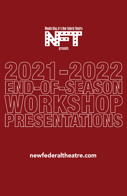



newfederaltheatre.com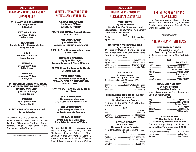# **MAY 25, 2022**

# BEGINNING ACTING WORKSHOP **MONOLOGUES**

THE LAST M & M SAMURAI by Joseph Arnon J. Baylock

### TWO CAN PLAY by Trevor Rhone Billie Jones

**PRODUCERS** by Mel Brooks; Thomas Meehan Rodger Smith

> 9 to 5 by Patricia Resnick Leslie Tappin

FENCES by August Wilson Billie Jones

FENCES by August Wilson J. Baylock

### FOR COLORED GIRLS WHO HAVE CONSIDERED SUICIDE/WHEN THE RAINBOW IS ENUF by Ntozake Shange

Leslie Tappin

FENCES by August Wilson Rodger Smith

INSRTUCTORS Carla Brothers and Joyce Sylvester

### BEGINNING ACTING CLASS ROSTER

Jalen Baylock, Kweli Dente', Clarke Illmatical, Billie Jones, Pier Lamia Porter, Yolanda Pringle, Roger Smith, Kayla Sinclair and Leslie Tappin

*FIVE MINUTE INTERMISSION*

# ADVANCE ACTING WORKSHOP SCENES AND MONOLOGUES

GEM Of THE OCEAN by August Wilson Wendi Joy Franklin

PIANO LESSON by August Wilson Antwain Lewis

ON SUGARLAND by Aleshea Harris Wendi Joy Franklin & Jan Clarke

PIPELINE by Dominique Morriseau Shani Tabia

INTIMATE APPAREL by Lynn Nottage Jonnine Deloatch & Nicole O'Connor

SLAVE PLAY by Jeremy O. Harris Jeanette Wallace

TIES THAT BIND (An Adaption based of August Wilson's GEM OF THE OCEAN) Jonnine Deloatch

HAVING OUR SAY by Emily Mann Jan Clarke

SKELETON CREW by Dominique Morriseau Gayle Carney & Antwain Lewis

SKELETON CREW by Dominique Morriseau Antwain Lewis & Jeanette

PARADISE BLUE by Dominique Morriseau Shani Tabia & Jeanette Wallace

ACTING CLASS ROSTER Aissata Barry, Gayle Carney, Jan Clarke, Jo Ann Cleghorne, Jonnine DeLoatch, Shani Douglas, Wendi Joy Franklin, Glenn M Harston, Antwain Lewis, Nicole O'Connor, Vincent Richardson, and Jeanette Wallace

# **MAY 26, 2022** BEGINNING PLAYWRIGHT WORKSHOP PRESENTATION

## TWO VIEWS

By Joyce Jacobs Directed by B'jai Pierce Astwood Greensburg, Pennsylvania. A sparsely decorated house. Present **Cast** Pricilla................................. Sherrie Strange Pratt Big Momma ......................................Grace Cohen

| <b>RANDY'S KITCHEN CABINET</b> |  |
|--------------------------------|--|
| .                              |  |

By Kathie House Directed by Passion Rhonda Hansome The kitchen at the Edwards' family home, Detroit, Michigan 2017 **Cast** 

| Big Momma  Mariann Aalda |  |
|--------------------------|--|
|                          |  |
|                          |  |

### SATIN DOLL

By Asbai Young Directed by Carla Brothers A cabaret in Detroit, Michigan.1962 **Cast** Sheray ......................... Barbara Antoinette Roney Bebe ...................................................Shani Tabia Shahrazad........................................ Ryann Myers

## THE SACRED GOD OF CHILDREN

By Laura Bowman

Directed by Leon Pinkney A street in Brooklyn, New York. Late afternoon 1990's

| <b>Cast</b>                               |  |
|-------------------------------------------|--|
|                                           |  |
|                                           |  |
|                                           |  |
| The Sacred God of Children  Arnold Pinnix |  |

## LASTING LEGACY

By Freida Jones Directed by Aixa Kendrick

A Harlem apartment. September 9, 1977 Cast

| Grandma ZuriWinter -Lee Holland |  |
|---------------------------------|--|
|                                 |  |
|                                 |  |

# BEGINNING PLAYWRITING CLASS ROSTER

Laura Bowman, Johnny Hines III, Kathie House, Cheryl Hubbard, Joyce Jacobs, Freida Jones, Margratta Samuel, Ethan Smith and Asabi Young

*INTERMISSION*

# ADVANCE PLAYWRIGHT CLASS

### NEW WORLD ORDER By Lucienne Taylor Directed by Sabura Rashid

An Afro-futurist play set in New York City, 2222.

#### Cast

| Joy Dionne Michelle Robinson |
|------------------------------|
| EgyptLisaroxanne Walters     |
|                              |
|                              |
|                              |
|                              |
|                              |

### BIG MICHIGAN SKY

By Carla Brothers Directed by Justin Lord

May's living room in New Jersey and Circle Support Center. Cast

### LEAVING LOUIE

#### Written by Janice Jenkins Directed by Bruce Edwin Jenkins

The Armstrong's living room in Corona Queens, New York, December 4, 1963 Cast

| Lucille Wilson ArmstrongCecilia Flagg |  |
|---------------------------------------|--|
| Louis Armstrong Levy Lee Simon        |  |
|                                       |  |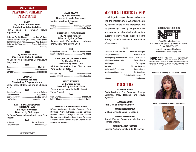# **MAY 27, 2022**

# PLAYWRIGHT WORKSHOP **PRESENTATION**

#### BLUR By Charles Edward Sims Directed by John Scutchins

Family room in Newport News, Virginia1979

#### **Cast**

Jefferson Zip Washington ...........Joshua W. Josey Jefferson Granddad Washington....Michael Anthony Green Hannah Bibi Washington................. Aixa Kendrick Jefferson Jeff Washington...... Turron Kofi Alleyne Narrator: .................................................. Bukanla

### **CUZ** By Belinda Walker

## Directed by Phillip E. Walker

An upscale home in a small Georgia town. Early 2000's.

#### **Cast**

#### VENOM By Ramala Bandele

#### Directed by DFaye Anderson

Verity Financial Services firm in Chicago. 2008

#### **Cast**

| Jazmine WilliamsJeanette Wallace |  |
|----------------------------------|--|
| Lawrence Reed Roger Parris       |  |
| Andrea Fletcher  Cynthia Garcia  |  |
| Lisa Williams Marjorie Johnson   |  |

### EMPTY DRUMS; OPEN UMBRELLA'S

By Joyce Sylvester Directed by Ted Lange Dr. Power's counseling office in New York. Present

## **Cast**

| ------                      |  |
|-----------------------------|--|
| Dr. Powers Tucker Smallwood |  |
|                             |  |

*INTERMISSION*

## NIA'S DIARY By Viani Edwards Directed by Julie Ann Lucas

Modern apartment. Present Cast Valorie.................................. Marie Louise Guinier Abigail...................................................Asha John

## TRUTHFUL DECEPTION

By Michael Johnson Directed by Larry Floyd Kwame and Evangelista's bedroom, Bronx, New York. Spring 2018

#### Cast

Evangelista Sanders ........... Patrice Battey-Simon Kwame Reynolds ...............................Chris Raglin

### THE COLOR OF PRIVILEGE By Charles White

Directed by Nora Cole Midtown Manhattan Law Firm in New York. Early Fall 2019. Cast Eduardo King ..............................Michael Navarro Joanne Bennett ............................. Shani Douglas

### WAIT STREET

By Barbara Lewis Directed by Patricia White Place: An apartment in the Northeast Time: Present Cast Viola Charles......................................Trish McCall Luther Charles ...............................Marcus Naylor

#### ADVANCED PLAYWRITING CLASS ROSTER

DFaye Anderson, Ramla Bandele, Carla Brothers, Viani Edwards, Janice Jenkins, Michael Johnson, Kariyma Jo Ann Nelson, Barbara Lewis, Charles Sims, Joyce Sylvester, Lucienne Taylor, Belinda Walker, Charles White, and Mary V. Williams

# NEW FEDERAL THEATRE'S MISSION

Is to integrate people of color and women into the mainstream of American theatre by training artists for the profession, and by presenting plays by people of color and women to integrated, multi cultural audiences, plays which evoke the truth through beautiful and artistic re-creations of ourselves.

### STAFF

| Producing Artistic Director Elizabeth Van Dyke   |  |
|--------------------------------------------------|--|
|                                                  |  |
| Training Program Coordinator Ajene D. Washington |  |
| Administrative Associate Chloe LaBorde           |  |
|                                                  |  |
|                                                  |  |
| Social Media Coordinator Chloe LaBorde           |  |
|                                                  |  |
|                                                  |  |
|                                                  |  |
|                                                  |  |

# **INSTRUCTORS**

#### BEGINNING ACTING

Carla Brothers, Eric Coleman, Rosalyn Coleman, Mary Hodges, and Joyce **Sylvester** 

#### ADVANCED ACTING

Nora Cole and Petronia Paley

#### BEGINNING PLAYWRITING

Michael Dinwiddie and PJ Gibson

## ADVANCED PLAYWRITING

Kermit Frazier, Cassandra Medley, and Richard Wesley

VIRTUAL TRAINING PROGRAM Norman Anthony Small, Nidal Q. Harvey



c/o All Stars Project, Inc. 543 West 42nd Street New York, NY 10036 Phone 212-353-1176 e-mail: newfederal@aol.com www.newfederaltheatre.com



**NFT 2022 Training Programs are funded in part by New York City Department of Cultural of Affairs/ CDF; NY Community Trust COVID-19 Impact Fund; Ford Foundation an individual contribution.**

#### **Dedicated in Memory of Our Dear PJ Gibson**



**Also, in memory Kariyma Jo Ann Nelson**

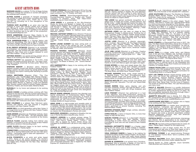# GUEST ARTISTS BIOS

**MARIANN AALDA** is a veteran TV-Film & Stage Actress working to change the narrative on women and aging in the entertainment industry.

**ALTHEA ALEXIS** a graduate of Howard University, has worked on stage and screen, including short films, commercials, and voice overs. Thank you to Leon and NFT for including me in this resurgence of live performance.

**TURRON KOFI ALLEYNE** is an actor who had the privilege to work with industry greats such as:Spike Lee, Michael B. Jordan, Zoe Saldana, Oz Scott, Daniel Beaty and many more. Turron is grateful to be directed by John Scutchins and to be part of this production. unstoppabletka@gmail.com

**DFAYE ANDERSON** (Director) Many thanks to our playwright, Ramla Bandele, Ajene Washington and to my wonderful cast. DAnde41196@aol.com

**DEJA ANDERSON-ROSS** is a Chicago Native with a love for storytelling. She has a BA in Theater from Columbia College Chicago and an MFA in acting from The Actors Studio Drama School at Pace University.

**B'JAI PIERCE ASTWOOD** (Director) is an actrecator by profession - an educator, AEA actor, stage manager, playwright. She has worked with NBT, Black Spectrum, Potpourri!, New Hope and is always blessed to work with New Federal - a day at a time!

**ANTONIA BADON** is an award-winning actress who is happy to be working with New Federal Theatre

**PATRICE BATTEY** has appeared in TV & Film, most recently the award-winning short film "The Blue Cave" and the currently streaming YouTube series "Shout Out 2 My Therapist.

**STEPHON BISHOP**, a Brooklyn native, Stephon delights comedy crowds with stories of growing up and being a parent. He also honed his acting skills through his Meisner and improv training after deciding to pursue his dreams.

**CARLA BROTHERS** (Director) (Film): "The Five Heartbeats," and "10,000 Black Men Named George." (Broadway) Sheila's Day. (Off-Broadway) Audelco Award Best Actress nomination: Moon on A Rainbow Shawl and the Audelco Award win for The Trial of One Short Sighted Black Woman vs. Mammy Louise and Safreeta Mae. Director credits: NJPAC's Victoria Theatre, Berkeley Repertory Theatre, and record label, Motema Music.

**BUKANLA** it is my honor and pleasure to be working with NFT

**GRACE COHEN** a budding actress working with New Federal for the first time. She has worked with Potpourri! and has appeared in many productions with New Hope Theatre Company.

**NORA COLE** (Director) veteran performing artist, writer, and director. NFT Instructor since 2014. Noracole.net.

**ERIC COLEMAN** is a veteran New York-born actor, director and teacher who has enjoyed a longtime association with New Federal Theatre.

**ANDRE DELL** is a third generation native New Yorker. It is a huge honor to be working with New Federal Theatre and for Woodie King, Jr.

**HANK DENNIS** attended Lee Strasberg Institute, Open<br>Cage Theatre with Tina Satin. He has presently been<br><u>c</u>ast in an Off-Broadway play Colorblind at the Actors Temple.

**CECILIA FLAGG** originally hailing from Detroit area theatres, is honored to re-join her friends at New Federal and Janice Jenkins in this exciting event.

**LARRY FLOYD** (Director) happy to be back working with New Federal. Thanks Aiene.

**LONNIE FORD** is a renowned San Francisco stage & film actor. He is touring Nationwide with his one-man-show CHAZA ~ techniques used to deal with oppression" - a play about youth options.

**ALICIA FOXWORTH** is an actor and writer based in NYC. Some of her works include "The Hunter's Anthology: A Visit to the Asylum (streaming on Amazon) and Island Girls (Theater for the New City). Member: SAG-AFTRA.

**ROSCOE FREEMAN** is from Washington DC by the way of North Carolina. He has been living in LA for over 20 years working in film, TV, theater, and radio.

**CYNTHIA GARCIA** (Actor/Playwright/Producer) is Founder/Executive Director of Exalted Arts Theatre Company, in Houston, Texas. Visit https://www. exaltedarts.org for more information.

**JOAN GREEN** is a graduate of the Afro-American Studio for Acting and Speech in Harlem NY, a Living Legend Award recipient by Founders Ernie McClintock and Ronald T. Walker. Her craft and well-spring of experiences have fueled riveting performances from local and regional theater to national tours, radio, television, and film.

**MICHAEL ANTHONY GREEN** Actor /Director/ Producer of Shades of Truth Theatre: Michael Green has produced Celeste Bedford Walker's Black Wall Street and Camp Logan, all in collaboration with Voza Rivers/ New Heritage Theatre Group. shadesoftruththeatre@gmail. com

**MARIE LOUISE GUINIER** has been acting both on stage and in front of the camera for over 15 years. Please visit résumés actorsaccess/MarieLouiseGuinier for résumé, video, and reviews.

**PASSION RHONDA HANSOME** (Director) Award winning director and stand-up comedian. SDC; Lincoln Center Directors Lab 2000; NYWIFT, Audelco Pioneer Award; Saviors?, Dwyer Cultural Center; Melba Moore's Sweet Songs of the Soul - Bermuda Festival, National Black Theater Festival, New Federal Theater, My True Life Storytelling, What's In My Bowl? Read Me & Comment: The Beast of Beauty, Like "Drama Mamas-The Film."

**AYO HARRINGTON** is happy to be working with New Federal Theatre.

**DONALD HINSON** recent credits include August Wilson's Two Train Running, 5 Guys Named Moe by Clarke Peters, at Black Spectrum Theatre; Joyce<br>Sylvester<sub>'</sub>s «Women In The Pit" at the Billie Holiday<br>Theatre and the National Black Theatre Festival in Winston Salem, NC. Email:Donshinson@mail.com.

**WINTER-LEE HOLLAND** moved to New York some years ago and began performing in Stage Productions such as One Never Knows, Tambourines to Glory, Tellin Man, Black Wall Street and Cherry House. She landed her biggest screen role in "Loving," as the mother of Oscar Nominated Ruth Negga. Winter-Lee is proud to share that God is the center of her life and she believes all things are possible through Christ who strengthens her. winteracting1@gmail.com

**BRUCE EDWIN JENKINS** (Director) has directed over twenty productions of Contemporary Black Theatre Classics for the Long Island community. In Pursuit of Justice and The Guest at Central Park West," his two productions for the H.A.D.L.E.Y. Players, were both multiple AUDELCO Award winners.

**ASHA JOHN** is a well-rounded and versatile artist of Trinidadian descent. Her varied roles have seen her cast in dynamic, thought provoking, dramatic leads as well as quick-witted, fast-paced comedy improv. Her current credits encompass original off-Broadway works as well as classics like Shakespeare's Romeo and Juliet.

**MARJORIE JOHNSON** is delighted to Breathe Life into<br>Lisa in Ramla Bandele's beautiful play, Venom.

**SHIRLEY JORDON** is a veteran actress whose TV credits include roles on "Abbott Elementary," "Grand Crew," Tyler Perry's "Sistas, Rebel," "S.W.A.T." and more. She is repped by Avalon Artists Group and managed by Entertainment Lab and is very happy to be here!

**JOSHUA W. JOSEY** is a professional actor, model, and entrepreneur currently in school for law and public administration. His previous stage performances include Scapino (Scapino), Midsummer Night's Dream (Oberon/ Theseus), Peter and the Starcatcher (Ted), among others. joshuawjosey@gmail.com

**AIXA KENDRICK** (Director/Actor) is an award-winning Stage and Screen Actress, Lincoln Center Lab Director, New Works/Jerome Foundation Playwright recipient and a Primordial Starchild. She is repped by The Talent Express NY. AixaKendrick.com.

**CARLETON KING** is best known for his multifaceted skill set. Having worked in theater, film and television wearing various hats from acting to every behind the scenes position you can name. His love for storytelling drives his need to learn every aspect of his art. His faith drives his desire to inspire others.

**TED LANGE** has gained worldwide recognition as a gifted actor of stage and screen, revered director, and prolific writer. Lange has penned twenty-five plays. He has also garnered worldwide fame for his portrayal of Isaac from the Love Boat and recently directed the one man show 'Satchmo at the Waldorf', Starring L. Peter Calendar for American Stage in Florida.

**ANTWAIN LEWIS** was last seen on stage at New Perspectives Theater in Zakeia Cross' Running Out of Time. Currently a New Federal Theatre acting student under Petronia Paley, his other stage credits include: Was it Me, Their Eyes Were Watching God, This Book Ain't Been Written, Lulu Dance, etc.

**JUSTIN LORD** (Director) is a director, playwright, actor, musician. Has worked with The Negro Ensemble Company, New Federal Theatre, The Billie Holiday Theatre, Inner City Cultural Center, National Black Theatre Festival, Mark Taper Forum, American Theatre Arts, to name a few.

**JULIE ANN LUCAS** (Director) is a Director, Creative<br>Producer, Screenwriter Dog & Cat Mom. Email: Lucas.<br>ju<u>l</u>ieann@yahoo.com Cell:(347)209-1517 Web site: julieannlucas.com

**TRISH MCCALL** is grateful to be working with the New Federal community again. Much love and respect to Woodie, Pat and now Elizabeth at the helm. Also, many thanks to work with Marcus again and again and again.

**RYANN MYERS** is a born and raised Jersey Girl. She received her BFA in Acting from Rutgers University Mason Gross School of the Arts. Her credits include Joan in Joan of Arc, Olivia in Twelfth Night, Miranda in The Busy Body, and Millie Davis Trouble in Mind.

**MICHAEL NAVARRO** Actor, writer, singer trained by<br>J. Marshall Evans. "The Path" (Principle/short film).<br>Versatile cabaret singer and active writer on multiple<br>writing tables for prospective films & TV shows.

**MARCUS NAYLOR** NFT plays include Cool Blues and Waitin' 2 End Hell. Television: "For Life" and "Board Walk Empire."

**ROGER PARRIS** Writer, actor, director, and arts educator. Presently, writing I Can Feel the Moon, a twoact play. Honored to work with DFaye Anderson and New Federal Theatre.

**LEON PINKNEY** (Director) has performed in a host of film, television, and stage productions. Among his numerous film productions, Leon was one of the starring actors in the hit motion picture, "Car Wash" as Justin.

**ARNOLD PINNIX** aka A Gregory Harris, is an award- winning playwright, and New York City Radio personality. Arnold has performed in a host of stage productions. He wrote the hit production, The Life and Times of Tupac Shakur performed at several theatres, including The National Black Theatre.

**SHERRIE STRANGE PRATT** singer, actress, educator. Member AEA, SAG, AFTRA.

**CHRIS RAGLIN**, a native of Dayton Ohio, is more than happy to help tell this story.

**SABURA RASHID** (Director) is a playwright/ director/<br>dramaturg in NYC. She also teaches cultural<br>anthropology at CUNY. Thank you, Woodie. It's always a privilege to work with the new writers at New Federal Theatre!

**BARBARA ANTOINETTE RONEY** is a theater major<br>going into her senior year at Mills College in Oakland,<br>CA. She loves performing theater and enjoys singing and dancing as well.

**VIDAL ENRIQUE RAMOS** is happy to be making his professional debut at New Federal Theatre. He has been studying acting for 2 years and really enjoys playing different characters. He also enjoys writing and directing his original plays.

**DIONNE M. ROBINSON** is an actress from Columbus, Mississippi! She is currently a Master of Fine Arts in acting student at California Institute of the Arts! **SAXABLE** is an international saxophonist based In Miami. He is the founder of the Saxable NFT collection.

**JOHN SCUTCHINS** (Director) The Niceties by Eleanor<br>Burgess @Mile Square Theatre. To my amazing Blur<br>Ensemble, thank you for saying yes. To Charles Edward Sims, Jr. your Storytelling is Majestic.

**LARITA SHELBY** starred in the urban classic "South Central." She stars in "Foster Law" opposite Brian White in a forthcoming series directed by Chris Stokes. Jazzy Rita also was a regular on the Tom Joyner Morning Show as Pookie and Nikki T, in addition to being a former broadcaster on Armed Forces Radio.

**TUCKER SMALLWOOD** is an actor, author and vocalist of stage, film, television. He is a Vietnam veteran and PTSD Advocate. 1000 v/o., 55 plays, on and off Broadway. Credits include Admiral Bullock in the "Star Trek: Voyager 5th season"; "Star Trek" as the Xindi-Primate councilor, 3rd season of "Star Trek: Enterprise," "The Cotton Club," and " SAAB." Visit IMDb.

**DAVID STAMPS** is a Playwright/Poet living in NYC. His play, The Black Bullet Dichotomy placed as a Finalist in the Arts in the Armed Forces Competition. As well as, Finalist in The Writer's Guild Foundation, a non-pro\*t affiliated with The Writer's Guild of America, Veteran's Writing Program.

**SHANI TABIA** is a singer, writer, actor, and lifelong lover of the arts from Oakland, CA. Currently studying advanced acting at New Federal Theatre, Shani will be making her Off Broadway debut later this month, in The Buffalo Hero of WW1: The Wayne Miner Story.

**EILEEN TEPPER** has been seen around the country regionally and in national tours of Les Misérables (the Factory Girl), Fiddler on the Roof (Tzeitel and Golde) and Caroline, or Change (Rose).

**TOBIAS TRUVILLION** is an award-winning TV, film, and theatrical actor and producer from Queens, New York. He has garnered an NAACP Image Award nomination for "Outstanding Actor in a Drama Series."

**LEYY LEE SIMON** Multiple award-winning writer and<br>actor Levy Lee Simon has performed On Broadway,<br>Off Broadway, regional theatres, England, and the Caribbean. As a writer, some of his more recognized plays include, God, the Crackhouse and the Devil, The Bow Wow Club, Same Train, For the Love of Freedom, The Guest at Central Park West, The Last Revolutionary and many more.

**PHILIP E. WALKER** (Director) is a prolific Hollywood talent with 1168 California gigs or Worldwide film festival on-screen appearances during his first 6 LA years. He also successfully represents short films through https:// StreamingFilmChannel.com/marketing.

**JEANETTE WALLACE** lives in Astoria, N.Y. After the NFT productions, she is excited to audition in continued pursuit of her acting career. jwall964@yahoo.com

**LISAROXANNE WALTERS** is an actress who is happy to be working with New Federal Theatre.

**SALIM WASHINGTON** is a master tenor saxophonist. multi-reedsman, composer, jazz educator, and one of the fastest rising stars on the New York jazz scene today. The leader of the Harlem Jazz Ensemble, he's also a historian who studied under Henry Louis Gates at Harvard and wrote a doctoral dissertation entitled Beautiful Nightmare: Coltrane, Jazz, and American Culture. SalimWashington.com

**PATRICIA WHITE** is a theatre administrator, dramaturge and director. She is appreciative to be working with Barbara Lewis as she hones her talent as a playwright.

**JIM WILLIS** has been acting professionally for nearly 40 years. Thanks Ajene, Passion for this opportunity.

**MARK WINN** is a star of stage, screen, film, TV, and commercial print ads who is more than happy to be a party of the New Federal Theatre's production of Cuz.

**KETRIANA YVONNE** is an award-winning Producer of "The Ketriana Yvonne Show "and is currently a Bric Podcast Cohort,

**MICHELE BALDWIN** Zoom Tech Director, Assistant Editor Diana Brito and Zoom Editor Natalie Morrow

Special thanks to: Chloé LaBorde, Joyce Sylvester, Carla Brothers and Petronia Paley.